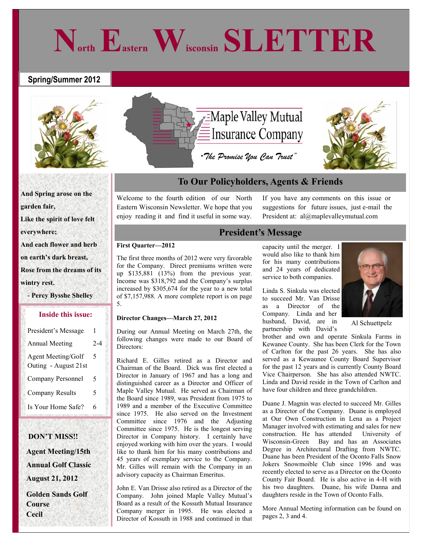#### **Spring/Summer 2012**



**And Spring arose on the garden fair,**

**Like the spirit of love felt**

**everywhere;**

**And each flower and herb**

**on earth's dark breast,**

**Rose from the dreams of its**

**wintry rest.**

 **- Percy Bysshe Shelley**

#### **Inside this issue:**

| President's Message                        | 1   |
|--------------------------------------------|-----|
| <b>Annual Meeting</b>                      | 2-4 |
| Agent Meeting/Golf<br>Outing - August 21st | 5   |
| Company Personnel                          | 5   |
| <b>Company Results</b>                     | 5   |
| Is Your Home Safe?                         | 6   |

### **DON'T MISS!! Agent Meeting/15th**

 **Annual Golf Classic August 21, 2012** 

 **Golden Sands Golf Course Cecil**



**North Eastern Wisconsin SLETTER**

### **To Our Policyholders, Agents & Friends**

Welcome to the fourth edition of our North Eastern Wisconsin Newsletter. We hope that you enjoy reading it and find it useful in some way.

If you have any comments on this issue or suggestions for future issues, just e-mail the President at: al@maplevalleymutual.com

#### **President's Message**

#### **First Quarter—2012**

The first three months of 2012 were very favorable for the Company. Direct premiums written were up \$135,881 (13%) from the previous year. Income was \$318,792 and the Company's surplus increased by \$305,674 for the year to a new total of \$7,157,988. A more complete report is on page 5.

#### **Director Changes—March 27, 2012**

During our Annual Meeting on March 27th, the following changes were made to our Board of Directors:

Richard E. Gilles retired as a Director and Chairman of the Board. Dick was first elected a Director in January of 1967 and has a long and distinguished career as a Director and Officer of Maple Valley Mutual. He served as Chairman of the Board since 1989, was President from 1975 to 1989 and a member of the Executive Committee since 1975. He also served on the Investment Committee since 1976 and the Adjusting Committee since 1975. He is the longest serving Director in Company history. I certainly have enjoyed working with him over the years. I would like to thank him for his many contributions and 45 years of exemplary service to the Company. Mr. Gilles will remain with the Company in an advisory capacity as Chairman Emeritus.

John E. Van Drisse also retired as a Director of the Company. John joined Maple Valley Mutual's Board as a result of the Kossuth Mutual Insurance Company merger in 1995. He was elected a Director of Kossuth in 1988 and continued in that capacity until the merger. I would also like to thank him for his many contributions and 24 years of dedicated service to both companies.

Linda S. Sinkula was elected to succeed Mr. Van Drisse as a Director of the Company. Linda and her husband, David, are in partnership with David's



Al Schuettpelz

brother and own and operate Sinkula Farms in Kewanee County. She has been Clerk for the Town of Carlton for the past 26 years. She has also served as a Kewaunee County Board Supervisor for the past 12 years and is currently County Board Vice Chairperson. She has also attended NWTC. Linda and David reside in the Town of Carlton and have four children and three grandchildren.

Duane J. Magnin was elected to succeed Mr. Gilles as a Director of the Company. Duane is employed at Our Own Construction in Lena as a Project Manager involved with estimating and sales for new construction. He has attended University of Wisconsin-Green Bay and has an Associates Degree in Architectural Drafting from NWTC. Duane has been President of the Oconto Falls Snow Jokers Snowmoible Club since 1996 and was recently elected to serve as a Director on the Oconto County Fair Board. He is also active in 4-H with his two daughters. Duane, his wife Danna and daughters reside in the Town of Oconto Falls.

More Annual Meeting information can be found on pages 2, 3 and 4.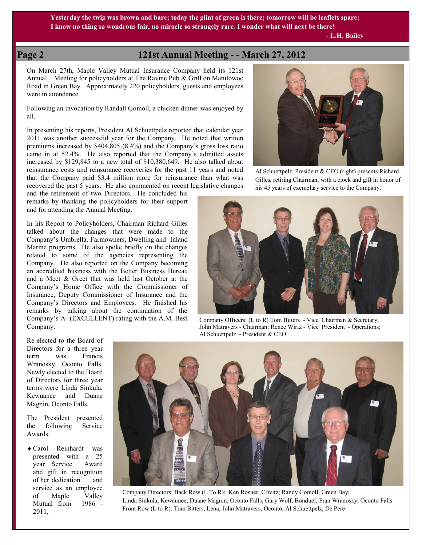**Yesterday the twig was brown and bare; today the glint of green is there; tomorrow will be leaflets spare; I know no thing so wondrous fair, no miracle so strangely rare. I wonder what will next be there!**

 **- L.H. Bailey** 

#### **Page 2 121st Annual Meeting - - March 27, 2012**

On March 27th, Maple Valley Mutual Insurance Company held its 121st Annual Meeting for policyholders at The Ravine Pub & Grill on Manitowoc Road in Green Bay. Approximately 220 policyholders, guests and employees were in attendance.

Following an invocation by Randall Gomoll, a chicken dinner was enjoyed by all.

In presenting his reports, President Al Schuettpelz reported that calendar year 2011 was another successful year for the Company. He noted that written premiums increased by \$404,805 (8.4%) and the Company's gross loss ratio came in at 52.4%. He also reported that the Company's admitted assets increased by \$129,845 to a new total of \$10,380,649. He also talked about reinsurance costs and reinsurance recoveries for the past 11 years and noted that the Company paid \$3.4 million more for reinsurance than what was recovered the past 5 years. He also commented on recent legislative changes

and the retirement of two Directors. He concluded his remarks by thanking the policyholders for their support and for attending the Annual Meeting.

In his Report to Policyholders, Chairman Richard Gilles talked about the changes that were made to the Company's Umbrella, Farmowners, Dwelling and Inland Marine programs. He also spoke briefly on the changes related to some of the agencies representing the Company. He also reported on the Company becoming an accredited business with the Better Business Bureau and a Meet & Greet that was held last October at the Company's Home Office with the Commissioner of Insurance, Deputy Commissioner of Insurance and the Company's Directors and Employees. He finished his remarks by talking about the continuation of the Company's A- (EXCELLENT) rating with the A.M. Best Company.

Al Schuettpelz, President & CEO (right) presents Richard Gilles, retiring Chairman, with a clock and gift in honor of his 45 years of exemplary service to the Company.



John Matravers - Chairman; Renee Wirtz - Vice President - Operations; Al Schuettpelz - President & CEO

Re-elected to the Board of Directors for a three year term was Francis Wranosky, Oconto Falls. Newly elected to the Board of Directors for three year terms were Linda Sinkula, Kewuanee and Duane Magnin, Oconto Falls.

The President presented the following Service Awards:

 Carol Reinhardt was presented with a 25 year Service Award and gift in recognition of her dedication and service as an employee of Maple Valley Mutual from 1986 - 2011;



 Company Directors: Back Row (L To R): Ken Rosner, Crivitz; Randy Gomoll, Green Bay; Linda Sinkula, Kewaunee; Duane Magnin, Oconto Falls; Gary Wolf, Bonduel; Fran Wranosky, Oconto Falls Front Row (L to R): Tom Bitters, Lena; John Matravers, Oconto; Al Schuettpelz, De Pere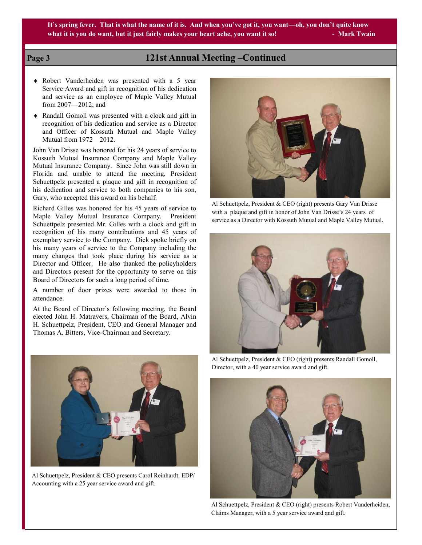**It's spring fever. That is what the name of it is. And when you've got it, you want—oh, you don't quite know** what it is you do want, but it just fairly makes your heart ache, you want it so! **- Mark Twain** 

#### **Page 3 121st Annual Meeting –Continued**

- Robert Vanderheiden was presented with a 5 year Service Award and gift in recognition of his dedication and service as an employee of Maple Valley Mutual from 2007—2012; and
- Randall Gomoll was presented with a clock and gift in recognition of his dedication and service as a Director and Officer of Kossuth Mutual and Maple Valley Mutual from 1972—2012.

John Van Drisse was honored for his 24 years of service to Kossuth Mutual Insurance Company and Maple Valley Mutual Insurance Company. Since John was still down in Florida and unable to attend the meeting, President Schuettpelz presented a plaque and gift in recognition of his dedication and service to both companies to his son, Gary, who accepted this award on his behalf.

Richard Gilles was honored for his 45 years of service to Maple Valley Mutual Insurance Company. President Schuettpelz presented Mr. Gilles with a clock and gift in recognition of his many contributions and 45 years of exemplary service to the Company. Dick spoke briefly on his many years of service to the Company including the many changes that took place during his service as a Director and Officer. He also thanked the policyholders and Directors present for the opportunity to serve on this Board of Directors for such a long period of time.

A number of door prizes were awarded to those in attendance.

At the Board of Director's following meeting, the Board elected John H. Matravers, Chairman of the Board, Alvin H. Schuettpelz, President, CEO and General Manager and Thomas A. Bitters, Vice-Chairman and Secretary.



Al Schuettpelz, President & CEO presents Carol Reinhardt, EDP/ Accounting with a 25 year service award and gift.



Al Schuettpelz, President & CEO (right) presents Gary Van Drisse with a plaque and gift in honor of John Van Drisse's 24 years of service as a Director with Kossuth Mutual and Maple Valley Mutual.



Al Schuettpelz, President & CEO (right) presents Randall Gomoll, Director, with a 40 year service award and gift.



Al Schuettpelz, President & CEO (right) presents Robert Vanderheiden, Claims Manager, with a 5 year service award and gift.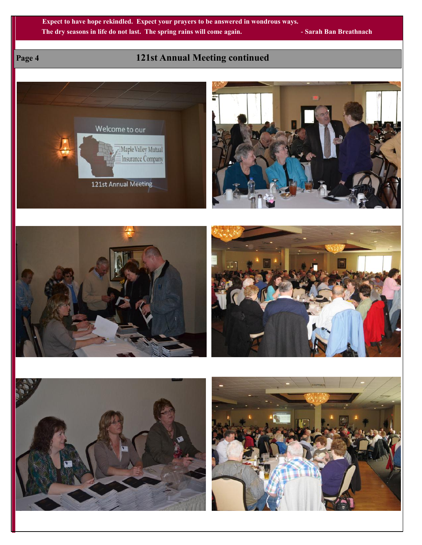**Expect to have hope rekindled. Expect your prayers to be answered in wondrous ways. The dry seasons in life do not last. The spring rains will come again. - Sarah Ban Breathnach**

## **Page 4 121st Annual Meeting continued**

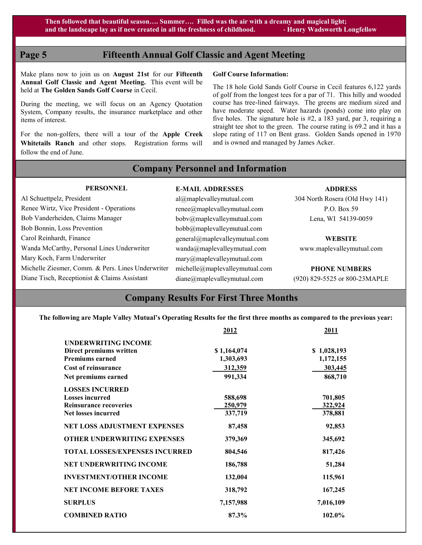### **Page 5 Fifteenth Annual Golf Classic and Agent Meeting**

Make plans now to join us on **August 21st** for our **Fifteenth Annual Golf Classic and Agent Meeting.** This event will be held at **The Golden Sands Golf Course** in Cecil.

During the meeting, we will focus on an Agency Quotation System, Company results, the insurance marketplace and other items of interest.

For the non-golfers, there will a tour of the **Apple Creek Whitetails Ranch** and other stops. Registration forms will follow the end of June.

#### **Golf Course Information:**

The 18 hole Gold Sands Golf Course in Cecil features 6,122 yards of golf from the longest tees for a par of 71. This hilly and wooded course has tree-lined fairways. The greens are medium sized and have moderate speed. Water hazards (ponds) come into play on five holes. The signature hole is #2, a 183 yard, par 3, requiring a straight tee shot to the green. The course rating is 69.2 and it has a slope rating of 117 on Bent grass. Golden Sands opened in 1970 and is owned and managed by James Acker.

#### **Company Personnel and Information**

 **PERSONNEL** Al Schuettpelz, President Renee Wirtz, Vice President - Operations Bob Vanderheiden, Claims Manager Bob Bonnin, Loss Prevention Carol Reinhardt, Finance Wanda McCarthy, Personal Lines Underwriter Mary Koch, Farm Underwriter Michelle Ziesmer, Comm. & Pers. Lines Underwriter Diane Tisch, Receptionist & Claims Assistant

#### **E-MAIL ADDRESSES**

al@maplevalleymutual.com renee@maplevalleymutual.com bobv@maplevalleymutual.com bobb@maplevalleymutual.com general@maplevalleymutual.com wanda@maplevalleymutual.com mary@maplevalleymutual.com michelle@maplevalleymutual.com diane@maplevalleymutual.com

#### **ADDRESS**

304 North Rosera (Old Hwy 141) P.O. Box 59 Lena, WI 54139-0059

#### **WEBSITE**

www.maplevalleymutual.com

**PHONE NUMBERS** (920) 829-5525 or 800-23MAPLE

### **Company Results For First Three Months**

**The following are Maple Valley Mutual's Operating Results for the first three months as compared to the previous year:**

|                                       | 2012           | 2011        |
|---------------------------------------|----------------|-------------|
| <b>UNDERWRITING INCOME</b>            |                |             |
| Direct premiums written               | \$1,164,074    | \$1,028,193 |
| <b>Premiums earned</b>                | 1,303,693      | 1,172,155   |
| <b>Cost of reinsurance</b>            | 312,359        | 303,445     |
| Net premiums earned                   | 991,334        | 868,710     |
| <b>LOSSES INCURRED</b>                |                |             |
| <b>Losses incurred</b>                | 588,698        | 701,805     |
| <b>Reinsurance recoveries</b>         | <u>250,979</u> | 322,924     |
| <b>Net losses incurred</b>            | 337,719        | 378,881     |
| <b>NET LOSS ADJUSTMENT EXPENSES</b>   | 87,458         | 92,853      |
| <b>OTHER UNDERWRITING EXPENSES</b>    | 379,369        | 345,692     |
| <b>TOTAL LOSSES/EXPENSES INCURRED</b> | 804,546        | 817,426     |
| <b>NET UNDERWRITING INCOME</b>        | 186,788        | 51,284      |
| <b>INVESTMENT/OTHER INCOME</b>        | 132,004        | 115,961     |
| <b>NET INCOME BEFORE TAXES</b>        | 318,792        | 167,245     |
| <b>SURPLUS</b>                        | 7,157,988      | 7,016,109   |
| <b>COMBINED RATIO</b>                 | 87.3%          | 102.0%      |
|                                       |                |             |